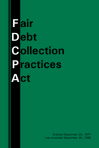# **air F D**ebt **ollection C ractices P ct A**

Enacted September 20, 1977 Last amended September 30, 1996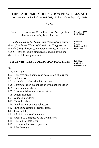# **THE FAIR DEBT COLLECTION PRACTICES ACT**

As Amended by Public Law 104-208, 110 Stat. 3009 (Sept. 30, 1996)

#### An Act

| To amend the Consumer Credit Protection Act to prohibit | Sept. 20, 1977 |  |
|---------------------------------------------------------|----------------|--|
| abusive practices by debt collectors.                   | [H.R. 5294]    |  |

*Be it enacted by the Senate and House of Representatives of the United States of America in Congress assembled*, That the Consumer Credit Protection Act (15 U.S.C. 1601 et seq.) is amended by adding at the end thereof the following new title:

**Consumer Credit Protection Act, amendments**

## **TITLE VIII - DEBT COLLECTION PRACTICES**

**Fair Debt Collection Practices Act**

Sec.

- 801. Short title
- 802. Congressional findings and declaration of purpose
- 803. Definitions
- 804. Acquisition of location information
- 805. Communication in connection with debt collection
- 806. Harassment or abuse
- 807. False or misleading representations
- 808. Unfair practices
- 809. Validation of debts
- 810. Multiple debts
- 811. Legal actions by debt collectors
- 812. Furnishing certain deceptive forms
- 813. Civil liability
- 814 Administrative enforcement
- 815. Reports to Congress by the Commission
- 816. Relation to State laws
- 817. Exemption for State regulation
- 818. Effective date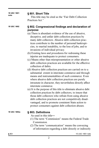| <b>15 USC 1601</b><br>note | § 801. Short Title<br>This title may be cited as the "Fair Debt Collection"<br>Practices Act."                                                                                                                                                                                                                                                                                                                                                                                                                                                                                                                                                                                                                                                                                                                                                                                                                                                                                                                                                                                                                                                                                                                                                                                                                                         |
|----------------------------|----------------------------------------------------------------------------------------------------------------------------------------------------------------------------------------------------------------------------------------------------------------------------------------------------------------------------------------------------------------------------------------------------------------------------------------------------------------------------------------------------------------------------------------------------------------------------------------------------------------------------------------------------------------------------------------------------------------------------------------------------------------------------------------------------------------------------------------------------------------------------------------------------------------------------------------------------------------------------------------------------------------------------------------------------------------------------------------------------------------------------------------------------------------------------------------------------------------------------------------------------------------------------------------------------------------------------------------|
| <b>15 USC 1692</b>         | § 802. Congressional findings and declaration of<br>purpose<br>(a) There is abundant evidence of the use of abusive,<br>deceptive, and unfair debt collection practices by<br>many debt collectors. Abusive debt collection prac-<br>tices contribute to the number of personal bankrupt-<br>cies, to marital instability, to the loss of jobs, and to<br>invasions of individual privacy.<br>(b) Existing laws and procedures for redressing these<br>injuries are inadequate to protect consumers.<br>(c) Means other than misrepresentation or other abusive<br>debt collection practices are available for the effective<br>collection of debts.<br>(d) Abusive debt collection practices are carried on to a<br>substantial extent in interstate commerce and through<br>means and instrumentalities of such commerce. Even<br>where abusive debt collection practices are purely<br>intrastate in character, they nevertheless directly affect<br>interstate commerce.<br>(e) It is the purpose of this title to eliminate abusive debt<br>collection practices by debt collectors, to insure that<br>those debt collectors who refrain from using abusive<br>debt collection practices are not competitively disad-<br>vantaged, and to promote consistent State action to<br>protect consumers against debt collection abuses. |
| 15 USC 1692a<br>§ 801      | § 803. Definitions<br>As used in this title—<br>(1) The term "Commission" means the Federal Trade<br>Commission.<br>(2) The term "communication" means the conveying<br>of information regarding a debt directly or indirectly<br>15 USC 1601 note                                                                                                                                                                                                                                                                                                                                                                                                                                                                                                                                                                                                                                                                                                                                                                                                                                                                                                                                                                                                                                                                                     |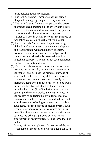to any person through any medium.

- $(3)$  The term "consumer" means any natural person obligated or allegedly obligated to pay any debt.
- $(4)$  The term "creditor" means any person who offers or extends credit creating a debt or to whom a debt is owed, but such term does not include any person to the extent that he receives an assignment or transfer of a debt in default solely for the purpose of facilitating collection of such debt for another.
- $(5)$  The term "debt" means any obligation or alleged obligation of a consumer to pay money arising out of a transaction in which the money, property, insurance or services which are the subject of the transaction are primarily for personal, family, or household purposes, whether or not such obligation has been reduced to judgment.
- $(6)$  The term "debt collector" means any person who uses any instrumentality of interstate commerce or the mails in any business the principal purpose of which is the collection of any debts, or who regularly collects or attempts to collect, directly or indirectly, debts owed or due or asserted to be owed or due another. Notwithstanding the exclusion provided by clause (F) of the last sentence of this paragraph, the term includes any creditor who, in the process of collecting his own debts, uses any name other than his own which would indicate that a third person is collecting or attempting to collect such debts. For the purpose of section 808(6), such term also includes any person who uses any instrumentality of interstate commerce or the mails in any business the principal purpose of which is the enforcement of security interests. The term does not include
	- (A) any officer or employee of a creditor while, in the name of the creditor, collecting debts for such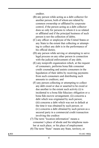creditor;

- (B) any person while acting as a debt collector for another person, both of whom are related by common ownership or affiliated by corporate control, if the person acting as a debt collector does so only for persons to whom it is so related or affiliated and if the principal business of such person is not the collection of debts;
- (C) any officer or employee of the United States or any State to the extent that collecting or attempting to collect any debt is in the performance of his official duties;
- (D) any person while serving or attempting to serve legal process on any other person in connection with the judicial enforcement of any debt;
- (E) any nonprofit organization which, at the request of consumers, performs bona fide consumer credit counseling and assists consumers in the liquidation of their debts by receiving payments from such consumers and distributing such amounts to creditors; and
- (F) any person collecting or attempting to collect any debt owed or due or asserted to be owed or due another to the extent such activity (i) is incidental to a bona fide fiduciary obligation or a bona fide escrow arrangement; (ii) concerns a debt which was originated by such person; (iii) concerns a debt which was not in default at the time it was obtained by such person; or (iv) concerns a debt obtained by such person as a secured party in a commercial credit transaction involving the creditor.
- $(7)$  The term "location information" means a consumer's place of abode and his telephone number at such place, or his place of employment. (8) The term "State" means any State, territory, or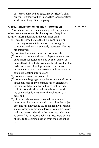possession of the United States, the District of Columbia, the Commonwealth of Puerto Rico, or any political subdivision of any of the foregoing.

# **§ 804. Acquisition of location information**

Any debt collector communicating with any person other than the consumer for the purpose of acquiring location information about the consumer shall

- (1) identify himself, state that he is confirming or correcting location information concerning the consumer, and, only if expressly requested, identify his employer;
- (2) not state that such consumer owes any debt;
- (3) not communicate with any such person more than once unless requested to do so by such person or unless the debt collector reasonably believes that the earlier response of such person is erroneous or incomplete and that such person now has correct or complete location information;
- (4) not communicate by post card;
- (5) not use any language or symbol on any envelope or in the contents of any communication effected by the mails or telegram that indicates that the debt collector is in the debt collection business or that the communication relates to the collection of a debt; and
- (6) after the debt collector knows the consumer is represented by an attorney with regard to the subject debt and has knowledge of, or can readily ascertain, such attorney's name and address, not communicate with any person other than that attorney, unless the attorney fails to respond within a reasonable period of time to the communication from the debt collector.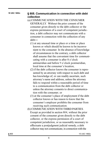#### **§ 805. Communication in connection with debt collection 15 USC 1692c**

- (a) COMMUNICATION WITH THE CONSUMER GENERALLY. Without the prior consent of the consumer given directly to the debt collector or the express permission of a court of competent jurisdiction, a debt collector may not communicate with a consumer in connection with the collection of any debt
	- (1) at any unusual time or place or a time or place known or which should be known to be inconvenient to the consumer. In the absence of knowledge of circumstances to the contrary, a debt collector shall assume that the convenient time for communicating with a consumer is after 8 o'clock antimeridian and before 9 o'clock postmeridian, local time at the consumer's location;
	- (2) if the debt collector knows the consumer is represented by an attorney with respect to such debt and has knowledge of, or can readily ascertain, such attorney's name and address, unless the attorney fails to respond within a reasonable period of time to a communication from the debt collector or unless the attorney consents to direct communication with the consumer; or
	- $(3)$  at the consumer's place of employment if the debt collector knows or has reason to know that the consumer's employer prohibits the consumer from receiving such communication.
- (b) COMMUNICATION WITH THIRD PARTIES. Except as provided in section 804, without the prior consent of the consumer given directly to the debt collector, or the express permission of a court of competent jurisdiction, or as reasonably necessary to effectuate a postjudgment judicial remedy, a debt collector may not communicate, in connection with the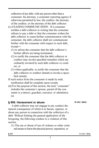collection of any debt, with any person other than a consumer, his attorney, a consumer reporting agency if otherwise permitted by law, the creditor, the attorney of the creditor, or the attorney of the debt collector.

- (c) CEASING COMMUNICATION. If a consumer notifies a debt collector in writing that the consumer refuses to pay a debt or that the consumer wishes the debt collector to cease further communication with the consumer, the debt collector shall not communicate further with the consumer with respect to such debt, except
	- $(1)$  to advise the consumer that the debt collector's further efforts are being terminated;
	- (2) to notify the consumer that the debt collector or creditor may invoke specified remedies which are ordinarily invoked by such debt collector or creditor; or
	- (3) where applicable, to notify the consumer that the debt collector or creditor intends to invoke a specified remedy.
- If such notice from the consumer is made by mail, notification shall be complete upon receipt.
- $(d)$  For the purpose of this section, the term "consumer" includes the consumer's spouse, parent (if the consumer is a minor), guardian, executor, or administrator.

# **§ 806. Harassment or abuse**

A debt collector may not engage in any conduct the natural consequence of which is to harass, oppress, or abuse any person in connection with the collection of a debt. Without limiting the general application of the foregoing, the following conduct is a violation of this section:

(1) The use or threat of use of violence or other criminal means to harm the physical person, reputation, or

**15 USC 1692d**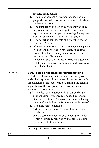property of any person.

- (2) The use of obscene or profane language or language the natural consequence of which is to abuse the hearer or reader.
- (3) The publication of a list of consumers who allegedly refuse to pay debts, except to a consumer reporting agency or to persons meeting the requirements of section  $603(f)$  or  $604(3)^1$  of this Act.
- (4) The advertisement for sale of any debt to coerce payment of the debt.
- (5) Causing a telephone to ring or engaging any person in telephone conversation repeatedly or continuously with intent to annoy, abuse, or harass any person at the called number.
- (6) Except as provided in section 804, the placement of telephone calls without meaningful disclosure of the caller's identity.

#### **15 USC 1692e**

## **§ 807. False or misleading representations**

A debt collector may not use any false, deceptive, or misleading representation or means in connection with the collection of any debt. Without limiting the general application of the foregoing, the following conduct is a violation of this section:

- (1) The false representation or implication that the debt collector is vouched for, bonded by, or affiliated with the United States or any State, including the use of any badge, uniform, or facsimile thereof.
- (2) The false representation of
	- (A) the character, amount, or legal status of any debt; or
	- (B) any services rendered or compensation which may be lawfully received by any debt collector for the collection of a debt.

 $1$  So in original; however, should read " $604(a)(3)$ ."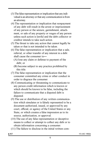- (3) The false representation or implication that any individual is an attorney or that any communication is from an attorney.
- (4) The representation or implication that nonpayment of any debt will result in the arrest or imprisonment of any person or the seizure, garnishment, attachment, or sale of any property or wages of any person unless such action is lawful and the debt collector or creditor intends to take such action.
- (5) The threat to take any action that cannot legally be taken or that is not intended to be taken.
- (6) The false representation or implication that a sale, referral, or other transfer of any interest in a debt shall cause the consumer to
	- (A) lose any claim or defense to payment of the debt; or
	- (B) become subject to any practice prohibited by this title.
- (7) The false representation or implication that the consumer committed any crime or other conduct in order to disgrace the consumer.
- (8) Communicating or threatening to communicate to any person credit information which is known or which should be known to be false, including the failure to communicate that a disputed debt is disputed.
- (9) The use or distribution of any written communication which simulates or is falsely represented to be a document authorized, issued, or approved by any court, official, or agency of the United States or any State, or which creates a false impression as to its source, authorization, or approval.
- (10) The use of any false representation or deceptive means to collect or attempt to collect any debt or to obtain information concerning a consumer.
- (11) The failure to disclose in the initial written com-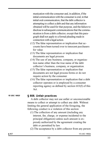munication with the consumer and, in addition, if the initial communication with the consumer is oral, in that initial oral communication, that the debt collector is attempting to collect a debt and that any information obtained will be used for that purpose, and the failure to disclose in subsequent communications that the communication is from a debt collector, except that this paragraph shall not apply to a formal pleading made in connection with a legal action.

- (12) The false representation or implication that accounts have been turned over to innocent purchasers for value.
- (13) The false representation or implication that documents are legal process.
- (14) The use of any business, company, or organization name other than the true name of the debt collector's business, company, or organization.
- (15) The false representation or implication that documents are not legal process forms or do not require action by the consumer.
- (16) The false representation or implication that a debt collector operates or is employed by a consumer reporting agency as defined by section 603(f) of this Act.

#### **15 USC 1692f**

## **§ 808. Unfair practices**

A debt collector may not use unfair or unconscionable means to collect or attempt to collect any debt. Without limiting the general application of the foregoing, the following conduct is a violation of this section:

- (1) The collection of any amount (including any interest, fee, charge, or expense incidental to the principal obligation) unless such amount is expressly authorized by the agreement creating the debt or permitted by law.
- (2) The acceptance by a debt collector from any person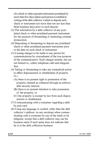of a check or other payment instrument postdated by more than five days unless such person is notified in writing of the debt collector's intent to deposit such check or instrument not more than ten nor less than three business days prior to such deposit.

- (3) The solicitation by a debt collector of any postdated check or other postdated payment instrument for the purpose of threatening or instituting criminal prosecution.
- (4) Depositing or threatening to deposit any postdated check or other postdated payment instrument prior to the date on such check or instrument.
- (5) Causing charges to be made to any person for communications by concealment of the true propose of the communication. Such charges include, but are not limited to, collect telephone calls and telegram fees.
- (6) Taking or threatening to take any nonjudicial action to effect dispossession or disablement of property if
	- (A) there is no present right to possession of the property claimed as collateral through an enforceable security interest;
	- (B) there is no present intention to take possession of the property; or
	- (C) the property is exempt by law from such dispossession or disablement.
- (7) Communicating with a consumer regarding a debt by post card.
- (8) Using any language or symbol, other than the debt collector's address, on any envelope when communicating with a consumer by use of the mails or by telegram, except that a debt collector may use his business name if such name does not indicate that he is in the debt collection business.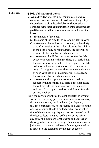#### **15 USC 1692g**

### **§ 809. Validation of debts**

- (a) Within five days after the initial communication with a consumer in connection with the collection of any debt, a debt collector shall, unless the following information is contained in the initial communication or the consumer has paid the debt, send the consumer a written notice containing
	- (1) the amount of the debt;
	- (2) the name of the creditor to whom the debt is owed;
	- (3) a statement that unless the consumer, within thirty days after receipt of the notice, disputes the validity of the debt, or any portion thereof, the debt will be assumed to be valid by the debt collector;
	- (4) a statement that if the consumer notifies the debt collector in writing within the thirty-day period that the debt, or any portion thereof, is disputed, the debt collector will obtain verification of the debt or a copy of a judgment against the consumer and a copy of such verification or judgment will be mailed to the consumer by the debt collector; and
	- $(5)$  a statement that, upon the consumer's written request within the thirty-day period, the debt collector will provide the consumer with the name and address of the original creditor, if different from the current creditor.
- (b) If the consumer notifies the debt collector in writing within the thirty-day period described in subsection (a) that the debt, or any portion thereof, is disputed, or that the consumer requests the name and address of the original creditor, the debt collector shall cease collection of the debt, or any disputed portion thereof, until the debt collector obtains verification of the debt or any copy of a judgment, or the name and address of the original creditor, and a copy of such verification or judgment, or name and address of the original creditor, is mailed to the consumer by the debt collector.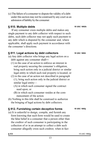**15 USC 1692j**

(c) The failure of a consumer to dispute the validity of a debt under this section may not be construed by any court as an admission of liability by the consumer.

# **§ 810. Multiple debts**

If any consumer owes multiple debts and makes any single payment to any debt collector with respect to such debts, such debt collector may not apply such payment to any debt which is disputed by the consumer and, where applicable, shall apply such payment in accordance with the consumer's directions.

# **§ 811. Legal actions by debt collectors**

- (a) Any debt collector who brings any legal action on a debt against any consumer shall-
	- (1) in the case of an action to enforce an interest in real property securing the consumer's obligation, bring such action only in a judicial district or similar legal entity in which such real property is located; or
	- (2) in the case of an action not described in paragraph (1), bring such action only in the judicial district or similar legal entity
		- (A) in which such consumer signed the contract sued upon; or
		- (B) in which such consumer resides at the commencement of the action.
- (b) Nothing in this title shall be construed to authorize the bringing of legal actions by debt collectors.

## **§ 812. Furnishing certain deceptive forms**

(a) It is unlawful to design, compile, and furnish any form knowing that such form would be used to create the false belief in a consumer that a person other than the creditor of such consumer is participating in the collection of or in an attempt to collect a debt such consumer allegedly owes such creditor, when in fact

**15 USC 1692h**

**15 USC 1692i**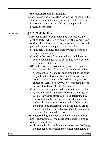such person is not so participating.

(b) Any person who violates this section shall be liable to the same extent and in the same manner as a debt collector is liable under section 813 for failure to comply with a provision of this title.

#### **§ 813. Civil liability 15 USC 1692k**

- (a) Except as otherwise provided by this section, any debt collector who fails to comply with any provision of this title with respect to any person is liable to such person in an amount equal to the sum of
	- (1) any actual damage sustained by such person as a result of such failure;
	- (2) (A) in the case of any action by an individual, such additional damages as the court may allow, but not exceeding \$1,000; or
	- (B) in the case of a class action, (i) such amount for each named plaintiff as could be recovered under subparagraph  $(A)$ , and  $(ii)$  such amount as the court may allow for all other class members, without regard to a minimum individual recovery, not to exceed the lesser of \$500,000 or 1 per centum of the net worth of the debt collector; and
	- (3) in the case of any successful action to enforce the foregoing liability, the costs of the action, together with a reasonable attorney's fee as determined by the court. On a finding by the court that an action under this section was brought in bad faith and for the purpose of harassment, the court may award to the defendant attorney's fees reasonable in relation to the work expended and costs.
- (b) In determining the amount of liability in any action under subsection (a), the court shall consider, among other relevant factors
	- (1) in any individual action under subsection  $(a)(2)(A)$ , the frequency and persistence of noncompliance by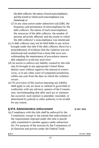the debt collector, the nature of such noncompliance, and the extent to which such noncompliance was intentional; or

- (2) in any class action under subsection  $(a)(2)(B)$ , the frequency and persistence of noncompliance by the debt collector, the nature of such noncompliance, the resources of the debt collector, the number of persons adversely affected, and the extent to which the debt collector's noncompliance was intentional.
- (c) A debt collector may not be held liable in any action brought under this title if the debt collector shows by a preponderance of evidence that the violation was not intentional and resulted from a bona fide error notwithstanding the maintenance of procedures reasonably adapted to avoid any such error.
- (d) An action to enforce any liability created by this title may be brought in any appropriate United States district court without regard to the amount in controversy, or in any other court of competent jurisdiction, within one year from the date on which the violation occurs.
- (e) No provision of this section imposing any liability shall apply to any act done or omitted in good faith in conformity with any advisory opinion of the Commission, notwithstanding that after such act or omission has occurred, such opinion is amended, rescinded, or determined by judicial or other authority to be invalid for any reason.

# **§ 814. Administrative enforcement**

(a) Compliance with this title shall be enforced by the Commission, except to the extend that enforcement of the requirements imposed under this title is specifically committed to another agency under subsection (b). For purpose of the exercise by the Commission of its functions and powers under the Federal Trade

**15 USC 1692***l*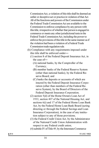Commission Act, a violation of this title shall be deemed an unfair or deceptive act or practice in violation of that Act. All of the functions and powers of the Commission under the Federal Trade Commission Act are available to the Commission to enforce compliance by any person with this title, irrespective of whether that person is engaged in commerce or meets any other jurisdictional tests in the Federal Trade Commission Act, including the power to enforce the provisions of this title in the same manner as if the violation had been a violation of a Federal Trade Commission trade regulation rule.

- (b) Compliance with any requirements imposed under this title shall be enforced under
	- (1) section 8 of the Federal Deposit Insurance Act, in the case of
		- (A) national banks, by the Comptroller of the Currency;
		- (B) member banks of the Federal Reserve System (other than national banks), by the Federal Reserve Board; and
		- (C) banks the deposits or accounts of which are insured by the Federal Deposit Insurance Corporation (other than members of the Federal Reserve System), by the Board of Directors of the Federal Deposit Insurance Corporation;
	- (2) section 5(d) of the Home Owners Loan Act of 1933, section 407 of the National Housing Act, and sections 6(i) and 17 of the Federal Home Loan Bank Act, by the Federal Home Loan Bank Board (acting directing or through the Federal Savings and Loan Insurance Corporation), in the case of any institution subject to any of those provisions;
	- (3) the Federal Credit Union Act, by the Administrator of the National Credit Union Administration with respect to any Federal credit union;
	- (4) subtitle IV of Title 49, by the Interstate Commerce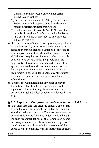Commission with respect to any common carrier subject to such subtitle;

- (5) the Federal Aviation Act of 1958, by the Secretary of Transportation with respect to any air carrier or any foreign air carrier subject to that Act; and
- (6) the Packers and Stockyards Act, 1921 (except as provided in section 406 of that Act), by the Secretary of Agriculture with respect to any activities subject to that Act.
- (c) For the purpose of the exercise by any agency referred to in subsection (b) of its powers under any Act referred to in that subsection, a violation of any requirement imposed under this title shall be deemed to be a violation of a requirement imposed under that Act. In addition to its powers under any provision of law specifically referred to in subsection (b), each of the agencies referred to in that subsection may exercise, for the purpose of enforcing compliance with any requirement imposed under this title any other authority conferred on it by law, except as provided in subsection (d).
- (d) Neither the Commission nor any other agency referred to in subsection (b) may promulgate trade regulation rules or other regulations with respect to the collection of debts by debt collectors as defined in this title.

#### **§ 815. Reports to Congress by the Commission 15 USC 1692m**

(a) Not later than one year after the effective date of this title and at one-year intervals thereafter, the Commission shall make reports to the Congress concerning the administration of its functions under this title, including such recommendations as the Commission deems necessary or appropriate. In addition, each report of the Commission shall include its assessment of the extent to which compliance with this title is being achieved

**§** 814 15 USC 1692*l*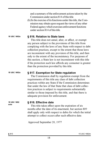and a summary of the enforcement actions taken by the Commission under section 814 of this title.

(b) In the exercise of its functions under this title, the Commission may obtain upon request the views of any other Federal agency which exercises enforcement functions under section 814 of this title.

#### **§ 816. Relation to State laws 15 USC 1692n**

This title does not annul, alter, or affect, or exempt any person subject to the provisions of this title from complying with the laws of any State with respect to debt collection practices, except to the extent that those laws are inconsistent with any provision of this title, and then only to the extent of the inconsistency. For purposes of this section, a State law is not inconsistent with this title if the protection such law affords any consumer is greater than the protection provided by this title.

#### **§ 817. Exemption for State regulation 15 USC 1692o**

The Commission shall by regulation exempt from the requirements of this title any class of debt collection practices within any State if the Commission determines that under the law of that State that class of debt collection practices is subject to requirements substantially similar to those imposed by this title, and that there is adequate provision for enforcement.

**15 USC 1692 note**

#### **§ 818. Effective date**

This title takes effect upon the expiration of six months after the date of its enactment, but section 809 shall apply only with respect to debts for which the initial attempt to collect occurs after such effective date.

Approved September 20, 1977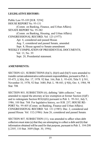## **LEGISLATIVE HISTORY:**

Public Law 95-109 [H.R. 5294] HOUSE REPORT No. 95-131 (Comm. on Banking, Finance, and Urban Affairs). SENATE REPORT No. 95-382 (Comm. on Banking, Housing, and Urban Affairs). CONGRESSIONAL RECORD, Vol. 123 (1977): Apr. 4, considered and passed House. Aug. 5, considered and passed Senate, amended. Sept. 8, House agreed to Senate amendment. WEEKLY COMPILATION OF PRESIDENTIAL DOCUMENTS, Vol. 13, No. 39: Sept. 20, Presidential statement.

## **AMENDMENTS:**

SECTION 621, SUBSECTIONS (b)(3), (b)(4) and (b)(5) were amended to transfer certain administrative enforcement responsibilities, pursuant to Pub. L. 95-473, § 3(b), Oct. 17, 1978. 92 Stat. 166; Pub. L. 95-630, Title V. § 501, November 10, 1978, 92 Stat. 3680; Pub. L. 98-443, § 9(h), Oct. 4, 1984, 98 Stat. 708.

SECTION 803, SUBSECTION (6), defining "debt collector," was amended to repeal the attorney at law exemption at former Section (6)(F) and to redesignate Section 803(6)(G) pursuant to Pub. L. 99-361, July 9, 1986, 100 Stat. 768. For legislative history, *see* H.R. 237, HOUSE RE-PORT No. 99-405 (Comm. on Banking, Finance and Urban Affairs). CONGRESSIONAL RECORD: Vol. 131 (1985): Dec. 2, considered and passed House. Vol. 132 (1986): June 26, considered and passed Senate.

SECTION 807, SUBSECTION (11), was amended to affect when debt collectors must state (a) that they are attempting to collect a debt and (b) that information obtained will be used for that purpose, pursuant to Pub. L. 104-208 § 2305, 110 Stat. 3009 (Sept. 30, 1996).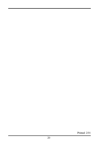Printed: 2/01